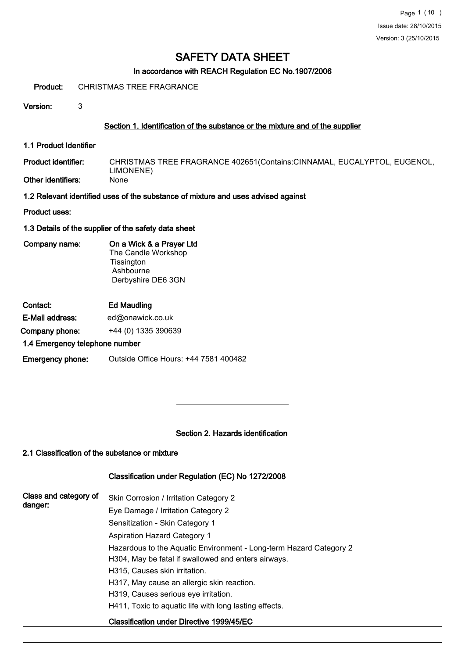## In accordance with REACH Regulation EC No.1907/2006

Product: CHRISTMAS TREE FRAGRANCE

Version: 3

## Section 1. Identification of the substance or the mixture and of the supplier

1.1 Product Identifier

CHRISTMAS TREE FRAGRANCE 402651(Contains:CINNAMAL, EUCALYPTOL, EUGENOL, LIMONENE)<br>None Product identifier: Other identifiers:

1.2 Relevant identified uses of the substance of mixture and uses advised against

Product uses:

1.3 Details of the supplier of the safety data sheet

Company name: On a Wick & a Prayer Ltd The Candle Workshop **Tissington Ashbourne** Derbyshire DE6 3GN

Contact: Ed Maudling E-Mail address: ed@onawick.co.uk Company phone: +44 (0) 1335 390639

#### 1.4 Emergency telephone number

Emergency phone: Outside Office Hours: +44 7581 400482

#### Section 2. Hazards identification

## 2.1 Classification of the substance or mixture

#### Classification under Regulation (EC) No 1272/2008

| Class and category of<br>danger: | Skin Corrosion / Irritation Category 2                             |
|----------------------------------|--------------------------------------------------------------------|
|                                  | Eye Damage / Irritation Category 2                                 |
|                                  | Sensitization - Skin Category 1                                    |
|                                  | <b>Aspiration Hazard Category 1</b>                                |
|                                  | Hazardous to the Aquatic Environment - Long-term Hazard Category 2 |
|                                  | H304, May be fatal if swallowed and enters airways.                |
|                                  | H315, Causes skin irritation.                                      |
|                                  | H317, May cause an allergic skin reaction.                         |
|                                  | H319, Causes serious eye irritation.                               |
|                                  | H411, Toxic to aguatic life with long lasting effects.             |
|                                  | Classification under Directive 1999/45/EC                          |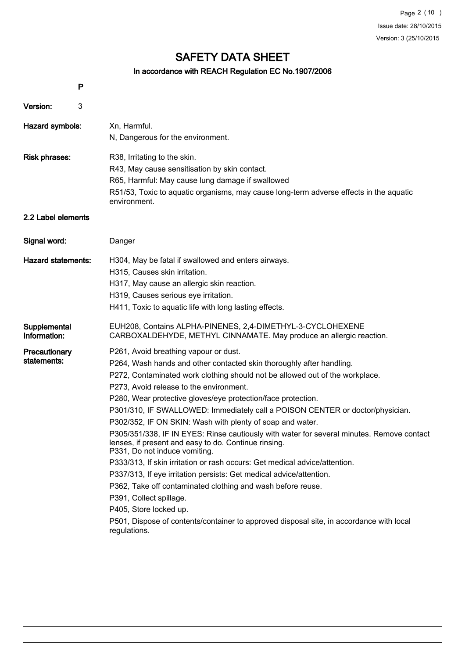## In accordance with REACH Regulation EC No.1907/2006

|                              | P |                                                                                                                                                                                    |
|------------------------------|---|------------------------------------------------------------------------------------------------------------------------------------------------------------------------------------|
| Version:                     | 3 |                                                                                                                                                                                    |
| Hazard symbols:              |   | Xn, Harmful.                                                                                                                                                                       |
|                              |   | N, Dangerous for the environment.                                                                                                                                                  |
| <b>Risk phrases:</b>         |   | R38, Irritating to the skin.                                                                                                                                                       |
|                              |   | R43, May cause sensitisation by skin contact.                                                                                                                                      |
|                              |   | R65, Harmful: May cause lung damage if swallowed                                                                                                                                   |
|                              |   | R51/53, Toxic to aquatic organisms, may cause long-term adverse effects in the aquatic<br>environment.                                                                             |
| 2.2 Label elements           |   |                                                                                                                                                                                    |
| Signal word:                 |   | Danger                                                                                                                                                                             |
| <b>Hazard statements:</b>    |   | H304, May be fatal if swallowed and enters airways.                                                                                                                                |
|                              |   | H315, Causes skin irritation.                                                                                                                                                      |
|                              |   | H317, May cause an allergic skin reaction.                                                                                                                                         |
|                              |   | H319, Causes serious eye irritation.                                                                                                                                               |
|                              |   | H411, Toxic to aquatic life with long lasting effects.                                                                                                                             |
| Supplemental<br>Information: |   | EUH208, Contains ALPHA-PINENES, 2,4-DIMETHYL-3-CYCLOHEXENE<br>CARBOXALDEHYDE, METHYL CINNAMATE. May produce an allergic reaction.                                                  |
| Precautionary                |   | P261, Avoid breathing vapour or dust.                                                                                                                                              |
| statements:                  |   | P264, Wash hands and other contacted skin thoroughly after handling.                                                                                                               |
|                              |   | P272, Contaminated work clothing should not be allowed out of the workplace.                                                                                                       |
|                              |   | P273, Avoid release to the environment.                                                                                                                                            |
|                              |   | P280, Wear protective gloves/eye protection/face protection.                                                                                                                       |
|                              |   | P301/310, IF SWALLOWED: Immediately call a POISON CENTER or doctor/physician.                                                                                                      |
|                              |   | P302/352, IF ON SKIN: Wash with plenty of soap and water.                                                                                                                          |
|                              |   | P305/351/338, IF IN EYES: Rinse cautiously with water for several minutes. Remove contact<br>lenses, if present and easy to do. Continue rinsing.<br>P331, Do not induce vomiting. |
|                              |   | P333/313, If skin irritation or rash occurs: Get medical advice/attention.                                                                                                         |
|                              |   | P337/313, If eye irritation persists: Get medical advice/attention.                                                                                                                |
|                              |   | P362, Take off contaminated clothing and wash before reuse.                                                                                                                        |
|                              |   | P391, Collect spillage.                                                                                                                                                            |
|                              |   | P405, Store locked up.                                                                                                                                                             |
|                              |   | P501, Dispose of contents/container to approved disposal site, in accordance with local<br>regulations.                                                                            |
|                              |   |                                                                                                                                                                                    |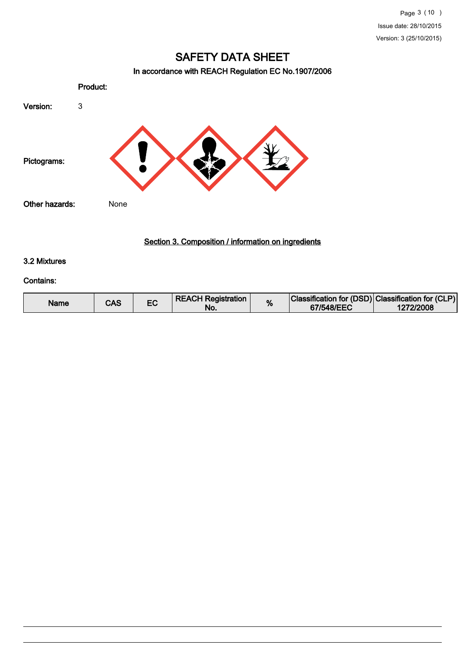## In accordance with REACH Regulation EC No.1907/2006



## Section 3. Composition / information on ingredients

## 3.2 Mixtures

#### Contains:

| Name | CAS |  | <b>REACH Registration</b><br>NO. |  | Classification for (DSD) Classification for (CLP)<br>67/548/EEC | 1272/2008 |
|------|-----|--|----------------------------------|--|-----------------------------------------------------------------|-----------|
|------|-----|--|----------------------------------|--|-----------------------------------------------------------------|-----------|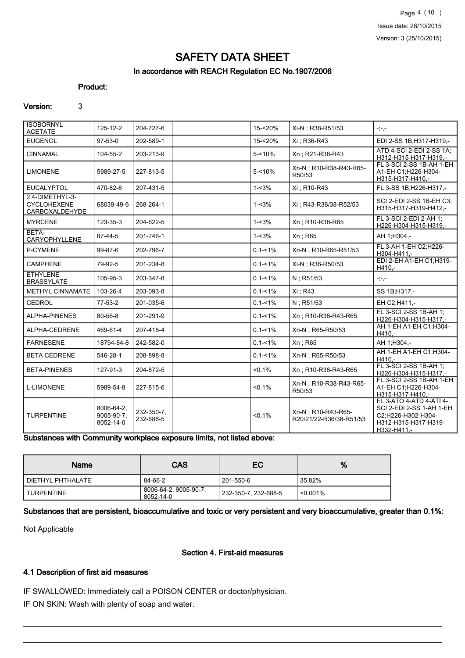## SAFETY DATA SHEET In accordance with REACH Regulation EC No.1907/2006

#### Product:

#### Version: 3

| <b>ISOBORNYL</b><br><b>ACETATE</b>                      | 125-12-2                              | 204-727-6               | 15-<20%     | Xi-N ; R38-R51/53                              | $-,-,-$                                                                                                          |
|---------------------------------------------------------|---------------------------------------|-------------------------|-------------|------------------------------------------------|------------------------------------------------------------------------------------------------------------------|
| <b>EUGENOL</b>                                          | 97-53-0                               | 202-589-1               | 15-<20%     | Xi : R36-R43                                   | EDI 2-SS 1B;H317-H319,-                                                                                          |
| <b>CINNAMAL</b>                                         | 104-55-2                              | 203-213-9               | $5 - 10%$   | Xn: R21-R38-R43                                | ATD 4-SCI 2-EDI 2-SS 1A:<br>H312-H315-H317-H319.-                                                                |
| <b>LIMONENE</b>                                         | 5989-27-5                             | 227-813-5               | $5 - 10%$   | Xn-N : R10-R38-R43-R65-<br>R50/53              | FL 3-SCI 2-SS 1B-AH 1-EH<br>A1-EH C1;H226-H304-<br>H315-H317-H410,-                                              |
| <b>EUCALYPTOL</b>                                       | 470-82-6                              | 207-431-5               | $1 - 3%$    | Xi : R10-R43                                   | FL 3-SS 1B:H226-H317,-                                                                                           |
| 2.4-DIMETHYL-3-<br><b>CYCLOHEXENE</b><br>CARBOXALDEHYDE | 68039-49-6                            | 268-264-1               | $1 - 3%$    | Xi: R43-R36/38-R52/53                          | SCI 2-EDI 2-SS 1B-EH C3;<br>H315-H317-H319-H412,-                                                                |
| <b>MYRCENE</b>                                          | 123-35-3                              | 204-622-5               | $1 - 3%$    | Xn: R10-R38-R65                                | FL 3-SCI 2-EDI 2-AH 1:<br>H226-H304-H315-H319,-                                                                  |
| BETA-<br>CARYOPHYLLENE                                  | 87-44-5                               | 201-746-1               | $1 - 3%$    | Xn; R65                                        | AH 1;H304,-                                                                                                      |
| P-CYMENE                                                | 99-87-6                               | 202-796-7               | $0.1 - 1\%$ | Xn-N; R10-R65-R51/53                           | FL 3-AH 1-EH C2:H226-<br>H304-H411.-                                                                             |
| <b>CAMPHENE</b>                                         | 79-92-5                               | 201-234-8               | $0.1 - 1\%$ | Xi-N ; R36-R50/53                              | EDI 2-EH A1-EH C1;H319-<br>H410,-                                                                                |
| <b>ETHYLENE</b><br><b>BRASSYLATE</b>                    | 105-95-3                              | 203-347-8               | $0.1 - 1\%$ | N; R51/53                                      | $\gamma^*_{\sigma\sigma\sigma}$                                                                                  |
| METHYL CINNAMATE                                        | 103-26-4                              | 203-093-8               | $0.1 - 1\%$ | Xi: R43                                        | SS 1B;H317,-                                                                                                     |
| CEDROL                                                  | 77-53-2                               | 201-035-6               | $0.1 - 1\%$ | $N$ ; R51/53                                   | EH C2:H411,-                                                                                                     |
| ALPHA-PINENES                                           | 80-56-8                               | 201-291-9               | $0.1 - 1\%$ | Xn: R10-R38-R43-R65                            | FL 3-SCI 2-SS 1B-AH 1;<br>H226-H304-H315-H317,-                                                                  |
| ALPHA-CEDRENE                                           | 469-61-4                              | 207-418-4               | $0.1 - 1\%$ | Xn-N; R65-R50/53                               | AH 1-EH A1-EH C1; H304-<br>H410,-                                                                                |
| <b>FARNESENE</b>                                        | 18794-84-8                            | 242-582-0               | $0.1 - 1\%$ | Xn; R65                                        | AH 1;H304,-                                                                                                      |
| <b>BETA CEDRENE</b>                                     | 546-28-1                              | 208-898-8               | $0.1 - 1\%$ | Xn-N; R65-R50/53                               | AH 1-EH A1-EH C1;H304-<br>$H410. -$                                                                              |
| <b>BETA-PINENES</b>                                     | 127-91-3                              | 204-872-5               | $< 0.1\%$   | Xn: R10-R38-R43-R65                            | FL 3-SCI 2-SS 1B-AH 1;<br>H226-H304-H315-H317,-                                                                  |
| <b>L-LIMONENE</b>                                       | 5989-54-8                             | 227-815-6               | $< 0.1\%$   | Xn-N ; R10-R38-R43-R65-<br>R50/53              | FL 3-SCI 2-SS 1B-AH 1-EH<br>A1-EH C1;H226-H304-<br>H315-H317-H410,-                                              |
| <b>TURPENTINE</b>                                       | 8006-64-2,<br>9005-90-7.<br>8052-14-0 | 232-350-7.<br>232-688-5 | $< 0.1\%$   | Xn-N : R10-R43-R65-<br>R20/21/22-R36/38-R51/53 | FL 3-ATO 4-ATD 4-ATI 4-<br>SCI 2-EDI 2-SS 1-AH 1-EH<br>C2;H226-H302-H304-<br>H312-H315-H317-H319-<br>H332-H411,- |

Substances with Community workplace exposure limits, not listed above:

| Name              | CAS                                | EC                   | %       |
|-------------------|------------------------------------|----------------------|---------|
| DIETHYL PHTHALATE | 84-66-2                            | 201-550-6            | 35.82%  |
| I TURPENTINE      | 8006-64-2, 9005-90-7,<br>8052-14-0 | 232-350-7, 232-688-5 | <0.001% |

Substances that are persistent, bioaccumulative and toxic or very persistent and very bioaccumulative, greater than 0.1%:

Not Applicable

### Section 4. First-aid measures

#### 4.1 Description of first aid measures

IF SWALLOWED: Immediately call a POISON CENTER or doctor/physician.

IF ON SKIN: Wash with plenty of soap and water.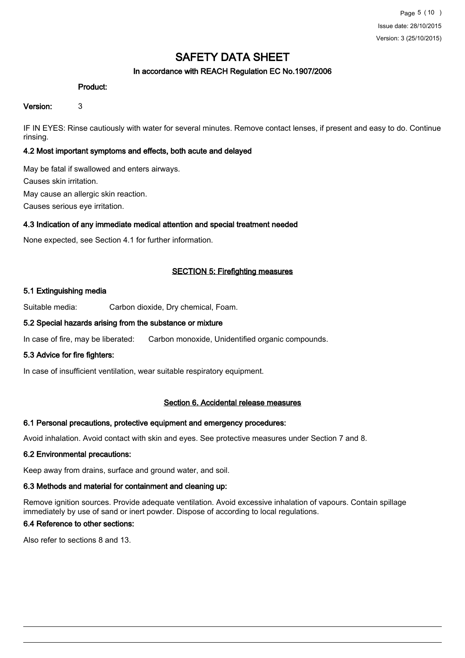## In accordance with REACH Regulation EC No.1907/2006

#### Product:

#### Version: 3

IF IN EYES: Rinse cautiously with water for several minutes. Remove contact lenses, if present and easy to do. Continue rinsing.

### 4.2 Most important symptoms and effects, both acute and delayed

May be fatal if swallowed and enters airways. Causes skin irritation. May cause an allergic skin reaction. Causes serious eye irritation.

#### 4.3 Indication of any immediate medical attention and special treatment needed

None expected, see Section 4.1 for further information.

#### SECTION 5: Firefighting measures

#### 5.1 Extinguishing media

Suitable media: Carbon dioxide, Dry chemical, Foam.

#### 5.2 Special hazards arising from the substance or mixture

In case of fire, may be liberated: Carbon monoxide, Unidentified organic compounds.

#### 5.3 Advice for fire fighters:

In case of insufficient ventilation, wear suitable respiratory equipment.

### Section 6. Accidental release measures

#### 6.1 Personal precautions, protective equipment and emergency procedures:

Avoid inhalation. Avoid contact with skin and eyes. See protective measures under Section 7 and 8.

#### 6.2 Environmental precautions:

Keep away from drains, surface and ground water, and soil.

#### 6.3 Methods and material for containment and cleaning up:

Remove ignition sources. Provide adequate ventilation. Avoid excessive inhalation of vapours. Contain spillage immediately by use of sand or inert powder. Dispose of according to local regulations.

#### 6.4 Reference to other sections:

Also refer to sections 8 and 13.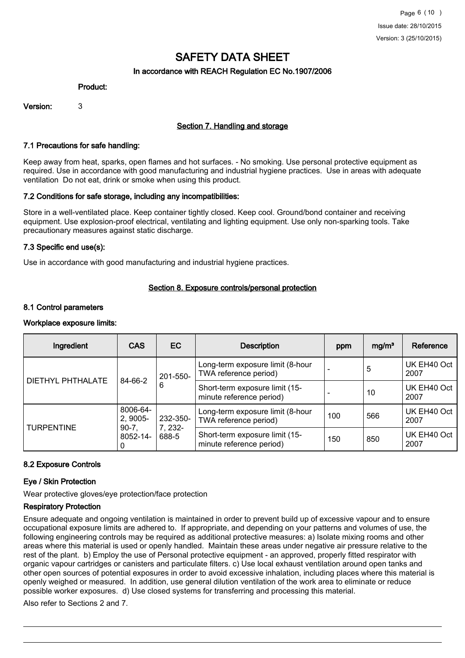## In accordance with REACH Regulation EC No.1907/2006

#### Product:

Version: 3

## Section 7. Handling and storage

#### 7.1 Precautions for safe handling:

Keep away from heat, sparks, open flames and hot surfaces. - No smoking. Use personal protective equipment as required. Use in accordance with good manufacturing and industrial hygiene practices. Use in areas with adequate ventilation Do not eat, drink or smoke when using this product.

#### 7.2 Conditions for safe storage, including any incompatibilities:

Store in a well-ventilated place. Keep container tightly closed. Keep cool. Ground/bond container and receiving equipment. Use explosion-proof electrical, ventilating and lighting equipment. Use only non-sparking tools. Take precautionary measures against static discharge.

#### 7.3 Specific end use(s):

Use in accordance with good manufacturing and industrial hygiene practices.

#### Section 8. Exposure controls/personal protection

#### 8.1 Control parameters

#### Workplace exposure limits:

| Ingredient               | <b>CAS</b>               | <b>EC</b>                    | <b>Description</b>                                         | ppm | mg/m <sup>3</sup> | Reference           |
|--------------------------|--------------------------|------------------------------|------------------------------------------------------------|-----|-------------------|---------------------|
| <b>DIETHYL PHTHALATE</b> | 84-66-2                  | 201-550-<br>6                | Long-term exposure limit (8-hour<br>TWA reference period)  |     | 5                 | UK EH40 Oct<br>2007 |
|                          |                          |                              | Short-term exposure limit (15-<br>minute reference period) |     | 10                | UK EH40 Oct<br>2007 |
| <b>TURPENTINE</b>        | 8006-64-<br>2, 9005-     | 232-350-<br>7, 232-<br>688-5 | Long-term exposure limit (8-hour<br>TWA reference period)  | 100 | 566               | UK EH40 Oct<br>2007 |
|                          | $90-7,$<br>8052-14-<br>0 |                              | Short-term exposure limit (15-<br>minute reference period) | 150 | 850               | UK EH40 Oct<br>2007 |

## 8.2 Exposure Controls

#### Eye / Skin Protection

Wear protective gloves/eye protection/face protection

## Respiratory Protection

Ensure adequate and ongoing ventilation is maintained in order to prevent build up of excessive vapour and to ensure occupational exposure limits are adhered to. If appropriate, and depending on your patterns and volumes of use, the following engineering controls may be required as additional protective measures: a) Isolate mixing rooms and other areas where this material is used or openly handled. Maintain these areas under negative air pressure relative to the rest of the plant. b) Employ the use of Personal protective equipment - an approved, properly fitted respirator with organic vapour cartridges or canisters and particulate filters. c) Use local exhaust ventilation around open tanks and other open sources of potential exposures in order to avoid excessive inhalation, including places where this material is openly weighed or measured. In addition, use general dilution ventilation of the work area to eliminate or reduce possible worker exposures. d) Use closed systems for transferring and processing this material.

Also refer to Sections 2 and 7.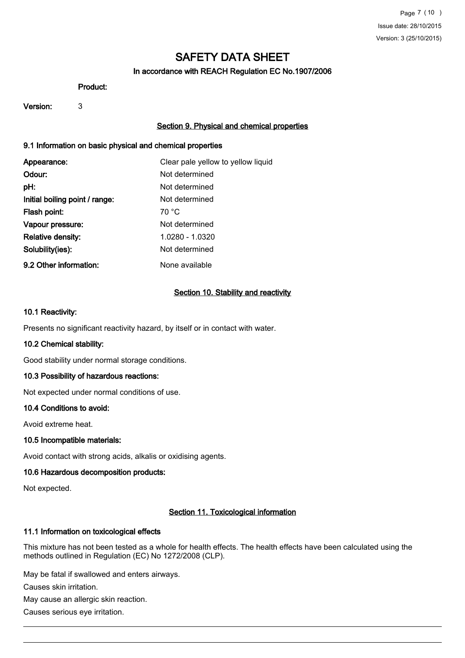## In accordance with REACH Regulation EC No.1907/2006

#### Product:

#### Version: 3

## Section 9. Physical and chemical properties

## 9.1 Information on basic physical and chemical properties

| Appearance:                    | Clear pale yellow to yellow liquid |
|--------------------------------|------------------------------------|
| Odour:                         | Not determined                     |
| pH:                            | Not determined                     |
| Initial boiling point / range: | Not determined                     |
| Flash point:                   | 70 °C                              |
| Vapour pressure:               | Not determined                     |
| Relative density:              | 1.0280 - 1.0320                    |
| Solubility(ies):               | Not determined                     |
| 9.2 Other information:         | None available                     |

#### Section 10. Stability and reactivity

#### 10.1 Reactivity:

Presents no significant reactivity hazard, by itself or in contact with water.

#### 10.2 Chemical stability:

Good stability under normal storage conditions.

## 10.3 Possibility of hazardous reactions:

Not expected under normal conditions of use.

#### 10.4 Conditions to avoid:

Avoid extreme heat.

#### 10.5 Incompatible materials:

Avoid contact with strong acids, alkalis or oxidising agents.

## 10.6 Hazardous decomposition products:

Not expected.

## Section 11. Toxicological information

#### 11.1 Information on toxicological effects

This mixture has not been tested as a whole for health effects. The health effects have been calculated using the methods outlined in Regulation (EC) No 1272/2008 (CLP).

May be fatal if swallowed and enters airways.

Causes skin irritation.

May cause an allergic skin reaction.

Causes serious eye irritation.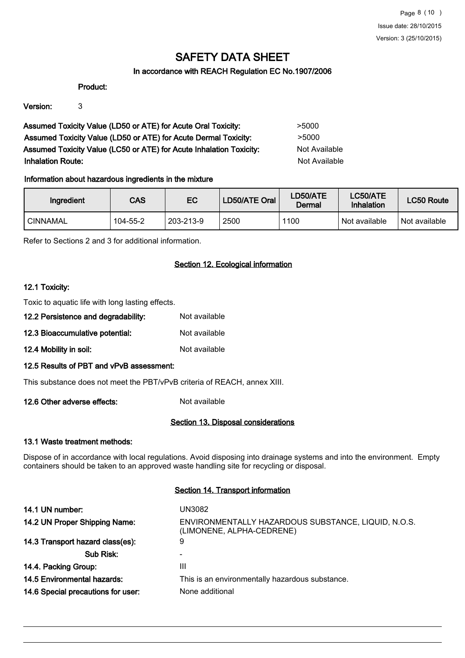## In accordance with REACH Regulation EC No.1907/2006

#### Product:

Version: 3

Assumed Toxicity Value (LD50 or ATE) for Acute Oral Toxicity: >5000 Assumed Toxicity Value (LD50 or ATE) for Acute Dermal Toxicity: > 5000 Assumed Toxicity Value (LC50 or ATE) for Acute Inhalation Toxicity: Not Available **Inhalation Route:** Not Available

## Information about hazardous ingredients in the mixture

| Ingredient | <b>CAS</b> | EC        | LD50/ATE Oral | LD50/ATE<br>Dermal | LC50/ATE<br>Inhalation | <b>LC50 Route</b> |
|------------|------------|-----------|---------------|--------------------|------------------------|-------------------|
| ' CINNAMAL | 104-55-2   | 203-213-9 | 2500          | 1100               | Not available          | Not available     |

Refer to Sections 2 and 3 for additional information.

## Section 12. Ecological information

#### 12.1 Toxicity:

Toxic to aquatic life with long lasting effects.

- 12.2 Persistence and degradability: Not available 12.3 Bioaccumulative potential: Not available
- 12.4 Mobility in soil: Not available

## 12.5 Results of PBT and vPvB assessment:

This substance does not meet the PBT/vPvB criteria of REACH, annex XIII.

12.6 Other adverse effects: Not available

## Section 13. Disposal considerations

## 13.1 Waste treatment methods:

Dispose of in accordance with local regulations. Avoid disposing into drainage systems and into the environment. Empty containers should be taken to an approved waste handling site for recycling or disposal.

#### Section 14. Transport information

| 14.1 UN number:                    | UN3082                                                                           |
|------------------------------------|----------------------------------------------------------------------------------|
| 14.2 UN Proper Shipping Name:      | ENVIRONMENTALLY HAZARDOUS SUBSTANCE, LIQUID, N.O.S.<br>(LIMONENE, ALPHA-CEDRENE) |
| 14.3 Transport hazard class(es):   | 9                                                                                |
| Sub Risk:                          |                                                                                  |
| 14.4. Packing Group:               | Ш                                                                                |
| 14.5 Environmental hazards:        | This is an environmentally hazardous substance.                                  |
| 14.6 Special precautions for user: | None additional                                                                  |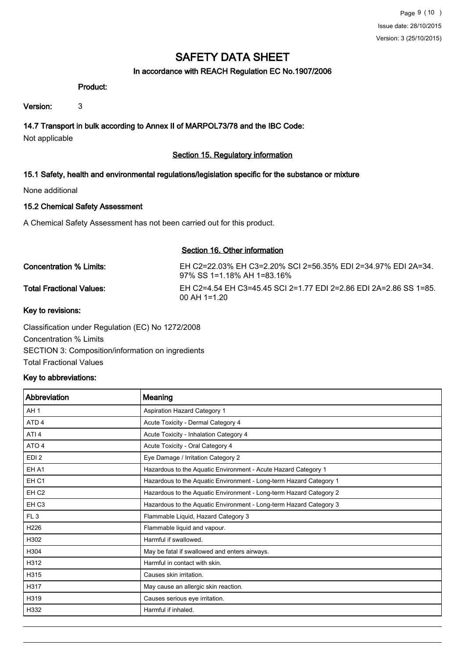## In accordance with REACH Regulation EC No.1907/2006

#### Product:

Version: 3

## 14.7 Transport in bulk according to Annex II of MARPOL73/78 and the IBC Code:

Not applicable

## Section 15. Regulatory information

## 15.1 Safety, health and environmental regulations/legislation specific for the substance or mixture

None additional

## 15.2 Chemical Safety Assessment

A Chemical Safety Assessment has not been carried out for this product.

#### Section 16. Other information

| Concentration % Limits:         | EH C2=22.03% EH C3=2.20% SCI 2=56.35% EDI 2=34.97% EDI 2A=34.<br>97% SS 1=1.18% AH 1=83.16% |
|---------------------------------|---------------------------------------------------------------------------------------------|
| <b>Total Fractional Values:</b> | EH C2=4.54 EH C3=45.45 SCI 2=1.77 EDI 2=2.86 EDI 2A=2.86 SS 1=85.<br>$00$ AH 1=1.20         |

## Key to revisions:

Classification under Regulation (EC) No 1272/2008 Concentration % Limits SECTION 3: Composition/information on ingredients Total Fractional Values

## Key to abbreviations:

| Abbreviation     | Meaning                                                            |
|------------------|--------------------------------------------------------------------|
| AH <sub>1</sub>  | Aspiration Hazard Category 1                                       |
| ATD <sub>4</sub> | Acute Toxicity - Dermal Category 4                                 |
| ATI <sub>4</sub> | Acute Toxicity - Inhalation Category 4                             |
| ATO 4            | Acute Toxicity - Oral Category 4                                   |
| EDI <sub>2</sub> | Eye Damage / Irritation Category 2                                 |
| EH A1            | Hazardous to the Aquatic Environment - Acute Hazard Category 1     |
| EH <sub>C1</sub> | Hazardous to the Aquatic Environment - Long-term Hazard Category 1 |
| EH <sub>C2</sub> | Hazardous to the Aquatic Environment - Long-term Hazard Category 2 |
| EH <sub>C3</sub> | Hazardous to the Aquatic Environment - Long-term Hazard Category 3 |
| FL <sub>3</sub>  | Flammable Liquid, Hazard Category 3                                |
| H <sub>226</sub> | Flammable liquid and vapour.                                       |
| H302             | Harmful if swallowed.                                              |
| H304             | May be fatal if swallowed and enters airways.                      |
| H312             | Harmful in contact with skin.                                      |
| H315             | Causes skin irritation.                                            |
| H317             | May cause an allergic skin reaction.                               |
| H319             | Causes serious eye irritation.                                     |
| H332             | Harmful if inhaled.                                                |